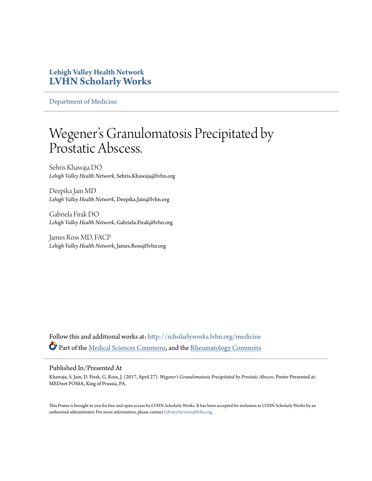## **Lehigh Valley Health Network [LVHN Scholarly Works](http://scholarlyworks.lvhn.org?utm_source=scholarlyworks.lvhn.org%2Fmedicine%2F1326&utm_medium=PDF&utm_campaign=PDFCoverPages)**

[Department of Medicine](http://scholarlyworks.lvhn.org/medicine?utm_source=scholarlyworks.lvhn.org%2Fmedicine%2F1326&utm_medium=PDF&utm_campaign=PDFCoverPages)

## Wegener 's Granulomatosis Precipitated by Prostatic Abscess.

Sehris Khawaja DO *Lehigh Valley Health Network*, Sehris.Khawaja@lvhn.org

Deepika Jain MD *Lehigh Valley Health Network*, Deepika.Jain@lvhn.org

Gabriela Firak DO *Lehigh Valley Health Network*, Gabriela.Firak@lvhn.org

James Ross MD, FACP *Lehigh Valley Health Network*, James.Ross@lvhn.org

Follow this and additional works at: [http://scholarlyworks.lvhn.org/medicine](http://scholarlyworks.lvhn.org/medicine?utm_source=scholarlyworks.lvhn.org%2Fmedicine%2F1326&utm_medium=PDF&utm_campaign=PDFCoverPages) Part of the [Medical Sciences Commons,](http://network.bepress.com/hgg/discipline/664?utm_source=scholarlyworks.lvhn.org%2Fmedicine%2F1326&utm_medium=PDF&utm_campaign=PDFCoverPages) and the [Rheumatology Commons](http://network.bepress.com/hgg/discipline/1093?utm_source=scholarlyworks.lvhn.org%2Fmedicine%2F1326&utm_medium=PDF&utm_campaign=PDFCoverPages)

## Published In/Presented At

Khawaja, S. Jain, D. Firak, G. Ross, J. (2017, April 27). *Wegener's Granulomatosis Precipitated by Prostatic Abscess*. Poster Presented at: MEDnet POMA, King of Prussia, PA.

This Poster is brought to you for free and open access by LVHN Scholarly Works. It has been accepted for inclusion in LVHN Scholarly Works by an authorized administrator. For more information, please contact [LibraryServices@lvhn.org.](mailto:LibraryServices@lvhn.org)